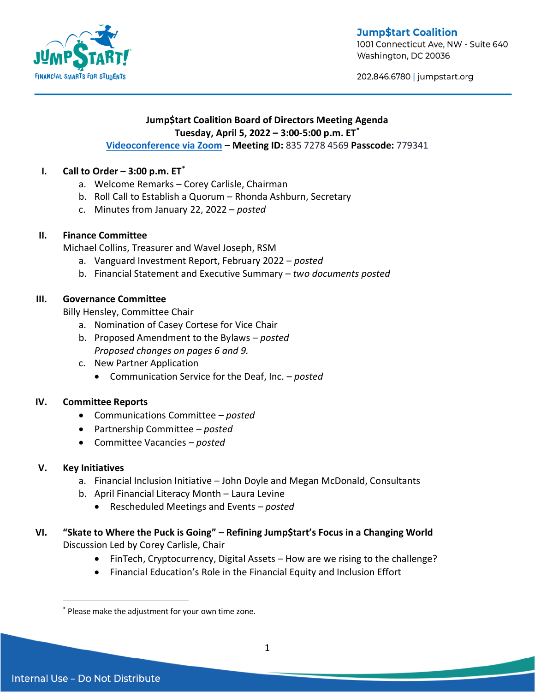

**Jump\$tart Coalition** 

1001 Connecticut Ave, NW - Suite 640 Washington, DC 20036

202.846.6780 | jumpstart.org

### **Jump\$tart Coalition Board of Directors Meeting Agenda Tuesday, April 5, 2022 – 3:00-5:00 p.m. ET\***

## **[Videoconference via Zoom](https://us02web.zoom.us/j/83572784569?pwd=bC92TVFJRi82R2NDZFhVWUVnK0k2Zz09) – Meeting ID:** 835 7278 4569 **Passcode:** 779341

# **I. Call to Order – 3:00 p.m. ET\***

- a. Welcome Remarks Corey Carlisle, Chairman
- b. Roll Call to Establish a Quorum Rhonda Ashburn, Secretary
- c. Minutes from January 22, 2022 *posted*

#### **II. Finance Committee**

Michael Collins, Treasurer and Wavel Joseph, RSM

- a. Vanguard Investment Report, February 2022 *posted*
- b. Financial Statement and Executive Summary *two documents posted*

## **III. Governance Committee**

Billy Hensley, Committee Chair

- a. Nomination of Casey Cortese for Vice Chair
- b. Proposed Amendment to the Bylaws *posted Proposed changes on pages 6 and 9.*
- c. New Partner Application
	- Communication Service for the Deaf, Inc. *posted*

#### **IV. Committee Reports**

- Communications Committee *posted*
- Partnership Committee *posted*
- Committee Vacancies *posted*

#### **V. Key Initiatives**

- a. Financial Inclusion Initiative John Doyle and Megan McDonald, Consultants
- b. April Financial Literacy Month Laura Levine
	- Rescheduled Meetings and Events *posted*

# **VI. "Skate to Where the Puck is Going" – Refining Jump\$tart's Focus in a Changing World**  Discussion Led by Corey Carlisle, Chair

- FinTech, Cryptocurrency, Digital Assets How are we rising to the challenge?
- Financial Education's Role in the Financial Equity and Inclusion Effort

 $\overline{a}$ 

<sup>\*</sup> Please make the adjustment for your own time zone.